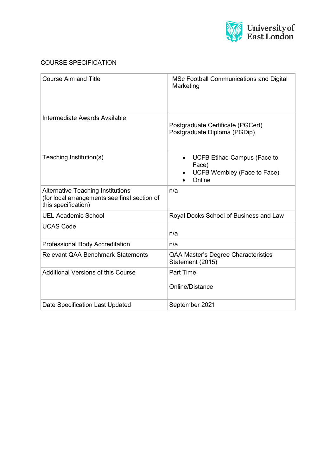

# COURSE SPECIFICATION

| <b>Course Aim and Title</b>                                                                                     | <b>MSc Football Communications and Digital</b><br>Marketing                          |  |
|-----------------------------------------------------------------------------------------------------------------|--------------------------------------------------------------------------------------|--|
| Intermediate Awards Available                                                                                   | Postgraduate Certificate (PGCert)<br>Postgraduate Diploma (PGDip)                    |  |
| Teaching Institution(s)                                                                                         | <b>UCFB Etihad Campus (Face to</b><br>Face)<br>UCFB Wembley (Face to Face)<br>Online |  |
| <b>Alternative Teaching Institutions</b><br>(for local arrangements see final section of<br>this specification) | n/a                                                                                  |  |
| <b>UEL Academic School</b>                                                                                      | Royal Docks School of Business and Law                                               |  |
| <b>UCAS Code</b>                                                                                                | n/a                                                                                  |  |
| <b>Professional Body Accreditation</b>                                                                          | n/a                                                                                  |  |
| <b>Relevant QAA Benchmark Statements</b>                                                                        | QAA Master's Degree Characteristics<br>Statement (2015)                              |  |
| <b>Additional Versions of this Course</b>                                                                       | <b>Part Time</b><br>Online/Distance                                                  |  |
| Date Specification Last Updated                                                                                 | September 2021                                                                       |  |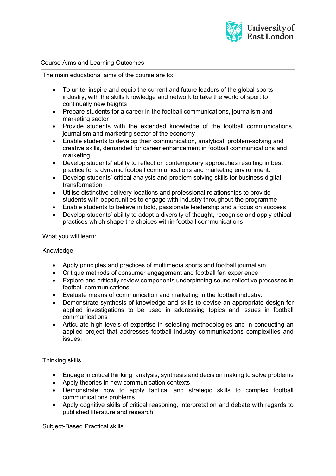

### Course Aims and Learning Outcomes

The main educational aims of the course are to:

- To unite, inspire and equip the current and future leaders of the global sports industry, with the skills knowledge and network to take the world of sport to continually new heights
- Prepare students for a career in the football communications, journalism and marketing sector
- Provide students with the extended knowledge of the football communications, journalism and marketing sector of the economy
- Enable students to develop their communication, analytical, problem-solving and creative skills, demanded for career enhancement in football communications and marketing
- Develop students' ability to reflect on contemporary approaches resulting in best practice for a dynamic football communications and marketing environment.
- Develop students' critical analysis and problem solving skills for business digital transformation
- Utilise distinctive delivery locations and professional relationships to provide students with opportunities to engage with industry throughout the programme
- Enable students to believe in bold, passionate leadership and a focus on success
- Develop students' ability to adopt a diversity of thought, recognise and apply ethical practices which shape the choices within football communications

What you will learn:

Knowledge

- Apply principles and practices of multimedia sports and football journalism
- Critique methods of consumer engagement and football fan experience
- Explore and critically review components underpinning sound reflective processes in football communications
- Evaluate means of communication and marketing in the football industry.
- Demonstrate synthesis of knowledge and skills to devise an appropriate design for applied investigations to be used in addressing topics and issues in football communications
- Articulate high levels of expertise in selecting methodologies and in conducting an applied project that addresses football industry communications complexities and issues.

Thinking skills

- Engage in critical thinking, analysis, synthesis and decision making to solve problems
- Apply theories in new communication contexts
- Demonstrate how to apply tactical and strategic skills to complex football communications problems
- Apply cognitive skills of critical reasoning, interpretation and debate with regards to published literature and research

Subject-Based Practical skills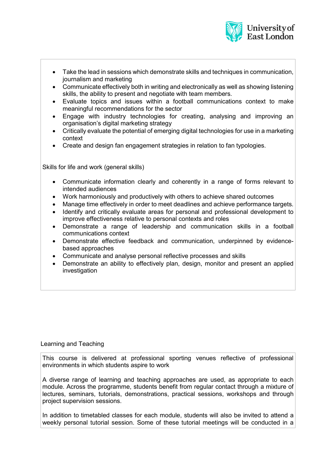

- Take the lead in sessions which demonstrate skills and techniques in communication, journalism and marketing
- Communicate effectively both in writing and electronically as well as showing listening skills, the ability to present and negotiate with team members.
- Evaluate topics and issues within a football communications context to make meaningful recommendations for the sector
- Engage with industry technologies for creating, analysing and improving an organisation's digital marketing strategy
- Critically evaluate the potential of emerging digital technologies for use in a marketing context
- Create and design fan engagement strategies in relation to fan typologies.

Skills for life and work (general skills)

- Communicate information clearly and coherently in a range of forms relevant to intended audiences
- Work harmoniously and productively with others to achieve shared outcomes
- Manage time effectively in order to meet deadlines and achieve performance targets.
- Identify and critically evaluate areas for personal and professional development to improve effectiveness relative to personal contexts and roles
- Demonstrate a range of leadership and communication skills in a football communications context
- Demonstrate effective feedback and communication, underpinned by evidencebased approaches
- Communicate and analyse personal reflective processes and skills
- Demonstrate an ability to effectively plan, design, monitor and present an applied investigation

### Learning and Teaching

This course is delivered at professional sporting venues reflective of professional environments in which students aspire to work

A diverse range of learning and teaching approaches are used, as appropriate to each module. Across the programme, students benefit from regular contact through a mixture of lectures, seminars, tutorials, demonstrations, practical sessions, workshops and through project supervision sessions.

In addition to timetabled classes for each module, students will also be invited to attend a weekly personal tutorial session. Some of these tutorial meetings will be conducted in a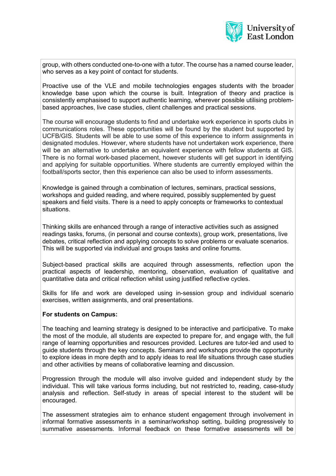

group, with others conducted one-to-one with a tutor. The course has a named course leader, who serves as a key point of contact for students.

Proactive use of the VLE and mobile technologies engages students with the broader knowledge base upon which the course is built. Integration of theory and practice is consistently emphasised to support authentic learning, wherever possible utilising problembased approaches, live case studies, client challenges and practical sessions.

The course will encourage students to find and undertake work experience in sports clubs in communications roles. These opportunities will be found by the student but supported by UCFB/GIS. Students will be able to use some of this experience to inform assignments in designated modules. However, where students have not undertaken work experience, there will be an alternative to undertake an equivalent experience with fellow students at GIS. There is no formal work-based placement, however students will get support in identifying and applying for suitable opportunities. Where students are currently employed within the football/sports sector, then this experience can also be used to inform assessments.

Knowledge is gained through a combination of lectures, seminars, practical sessions, workshops and guided reading, and where required, possibly supplemented by guest speakers and field visits. There is a need to apply concepts or frameworks to contextual situations.

Thinking skills are enhanced through a range of interactive activities such as assigned readings tasks, forums, (in personal and course contexts), group work, presentations, live debates, critical reflection and applying concepts to solve problems or evaluate scenarios. This will be supported via individual and groups tasks and online forums.

Subject-based practical skills are acquired through assessments, reflection upon the practical aspects of leadership, mentoring, observation, evaluation of qualitative and quantitative data and critical reflection whilst using justified reflective cycles.

Skills for life and work are developed using in-session group and individual scenario exercises, written assignments, and oral presentations.

### **For students on Campus:**

The teaching and learning strategy is designed to be interactive and participative. To make the most of the module, all students are expected to prepare for, and engage with, the full range of learning opportunities and resources provided. Lectures are tutor-led and used to guide students through the key concepts. Seminars and workshops provide the opportunity to explore ideas in more depth and to apply ideas to real life situations through case studies and other activities by means of collaborative learning and discussion.

Progression through the module will also involve guided and independent study by the individual. This will take various forms including, but not restricted to, reading, case-study analysis and reflection. Self-study in areas of special interest to the student will be encouraged.

The assessment strategies aim to enhance student engagement through involvement in informal formative assessments in a seminar/workshop setting, building progressively to summative assessments. Informal feedback on these formative assessments will be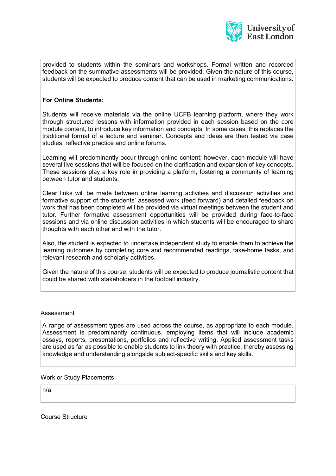

provided to students within the seminars and workshops. Formal written and recorded feedback on the summative assessments will be provided. Given the nature of this course, students will be expected to produce content that can be used in marketing communications.

## **For Online Students:**

Students will receive materials via the online UCFB learning platform, where they work through structured lessons with information provided in each session based on the core module content, to introduce key information and concepts. In some cases, this replaces the traditional format of a lecture and seminar. Concepts and ideas are then tested via case studies, reflective practice and online forums.

Learning will predominantly occur through online content; however, each module will have several live sessions that will be focused on the clarification and expansion of key concepts. These sessions play a key role in providing a platform, fostering a community of learning between tutor and students.

Clear links will be made between online learning activities and discussion activities and formative support of the students' assessed work (feed forward) and detailed feedback on work that has been completed will be provided via virtual meetings between the student and tutor. Further formative assessment opportunities will be provided during face-to-face sessions and via online discussion activities in which students will be encouraged to share thoughts with each other and with the tutor.

Also, the student is expected to undertake independent study to enable them to achieve the learning outcomes by completing core and recommended readings, take-home tasks, and relevant research and scholarly activities.

Given the nature of this course, students will be expected to produce journalistic content that could be shared with stakeholders in the football industry.

### Assessment

A range of assessment types are used across the course, as appropriate to each module. Assessment is predominantly continuous, employing items that will include academic essays, reports, presentations, portfolios and reflective writing. Applied assessment tasks are used as far as possible to enable students to link theory with practice, thereby assessing knowledge and understanding alongside subject-specific skills and key skills.

### Work or Study Placements

n/a

Course Structure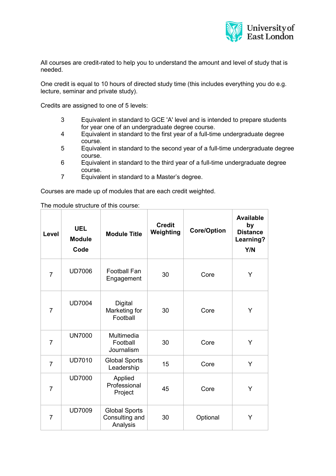

All courses are credit-rated to help you to understand the amount and level of study that is needed.

One credit is equal to 10 hours of directed study time (this includes everything you do e.g. lecture, seminar and private study).

Credits are assigned to one of 5 levels:

- 3 Equivalent in standard to GCE 'A' level and is intended to prepare students for year one of an undergraduate degree course.
- 4 Equivalent in standard to the first year of a full-time undergraduate degree course.
- 5 Equivalent in standard to the second year of a full-time undergraduate degree course.
- 6 Equivalent in standard to the third year of a full-time undergraduate degree course.
- 7 Equivalent in standard to a Master's degree.

Courses are made up of modules that are each credit weighted.

The module structure of this course:

| Level          | <b>UEL</b><br><b>Module</b><br>Code | <b>Module Title</b>                                | <b>Credit</b><br>Weighting | <b>Core/Option</b> | <b>Available</b><br>by<br><b>Distance</b><br>Learning?<br>Y/N |
|----------------|-------------------------------------|----------------------------------------------------|----------------------------|--------------------|---------------------------------------------------------------|
| $\overline{7}$ | <b>UD7006</b>                       | <b>Football Fan</b><br>Engagement                  | 30                         | Core               | Y                                                             |
| $\overline{7}$ | <b>UD7004</b>                       | Digital<br>Marketing for<br>Football               | 30                         | Core               | Y                                                             |
| $\overline{7}$ | <b>UN7000</b>                       | Multimedia<br>Football<br>Journalism               | 30                         | Core               | Y                                                             |
| $\overline{7}$ | <b>UD7010</b>                       | <b>Global Sports</b><br>Leadership                 | 15                         | Core               | Y                                                             |
| $\overline{7}$ | <b>UD7000</b>                       | Applied<br>Professional<br>Project                 | 45                         | Core               | Y                                                             |
| $\overline{7}$ | <b>UD7009</b>                       | <b>Global Sports</b><br>Consulting and<br>Analysis | 30                         | Optional           | Y                                                             |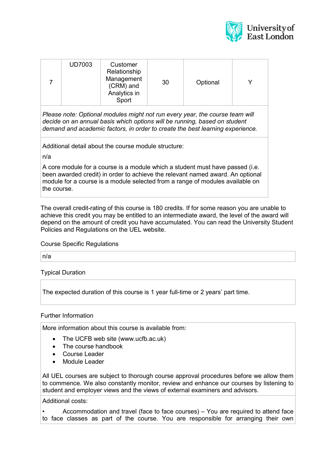

| <b>UD7003</b> | Customer<br>Relationship<br>Management<br>(CRM) and<br>Analytics in<br>Sport | 30 | Optional |  |
|---------------|------------------------------------------------------------------------------|----|----------|--|

*Please note: Optional modules might not run every year, the course team will decide on an annual basis which options will be running, based on student demand and academic factors, in order to create the best learning experience.*

Additional detail about the course module structure:

n/a

A core module for a course is a module which a student must have passed (i.e. been awarded credit) in order to achieve the relevant named award. An optional module for a course is a module selected from a range of modules available on the course.

The overall credit-rating of this course is 180 credits. If for some reason you are unable to achieve this credit you may be entitled to an intermediate award, the level of the award will depend on the amount of credit you have accumulated. You can read the University Student Policies and Regulations on the UEL website.

### Course Specific Regulations

n/a

Typical Duration

The expected duration of this course is 1 year full-time or 2 years' part time.

### Further Information

More information about this course is available from:

- The UCFB web site (www.ucfb.ac.uk)
- The course handbook
- Course Leader
- Module Leader

All UEL courses are subject to thorough course approval procedures before we allow them to commence. We also constantly monitor, review and enhance our courses by listening to student and employer views and the views of external examiners and advisors.

Additional costs:

Accommodation and travel (face to face courses) – You are required to attend face to face classes as part of the course. You are responsible for arranging their own